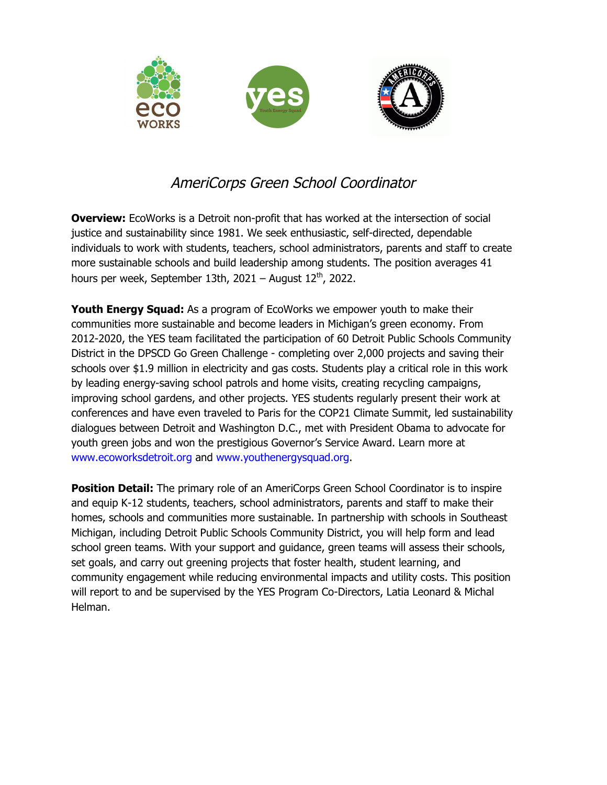

## AmeriCorps Green School Coordinator

**Overview:** EcoWorks is a Detroit non-profit that has worked at the intersection of social justice and sustainability since 1981. We seek enthusiastic, self-directed, dependable individuals to work with students, teachers, school administrators, parents and staff to create more sustainable schools and build leadership among students. The position averages 41 hours per week, September 13th, 2021 – August 12<sup>th</sup>, 2022.

**Youth Energy Squad:** As a program of EcoWorks we empower youth to make their communities more sustainable and become leaders in Michigan's green economy. From 2012-2020, the YES team facilitated the participation of 60 Detroit Public Schools Community District in the DPSCD Go Green Challenge - completing over 2,000 projects and saving their schools over \$1.9 million in electricity and gas costs. Students play a critical role in this work by leading energy-saving school patrols and home visits, creating recycling campaigns, improving school gardens, and other projects. YES students regularly present their work at conferences and have even traveled to Paris for the COP21 Climate Summit, led sustainability dialogues between Detroit and Washington D.C., met with President Obama to advocate for youth green jobs and won the prestigious Governor's Service Award. Learn more at www.ecoworksdetroit.org and www.youthenergysquad.org.

**Position Detail:** The primary role of an AmeriCorps Green School Coordinator is to inspire and equip K-12 students, teachers, school administrators, parents and staff to make their homes, schools and communities more sustainable. In partnership with schools in Southeast Michigan, including Detroit Public Schools Community District, you will help form and lead school green teams. With your support and guidance, green teams will assess their schools, set goals, and carry out greening projects that foster health, student learning, and community engagement while reducing environmental impacts and utility costs. This position will report to and be supervised by the YES Program Co-Directors, Latia Leonard & Michal Helman.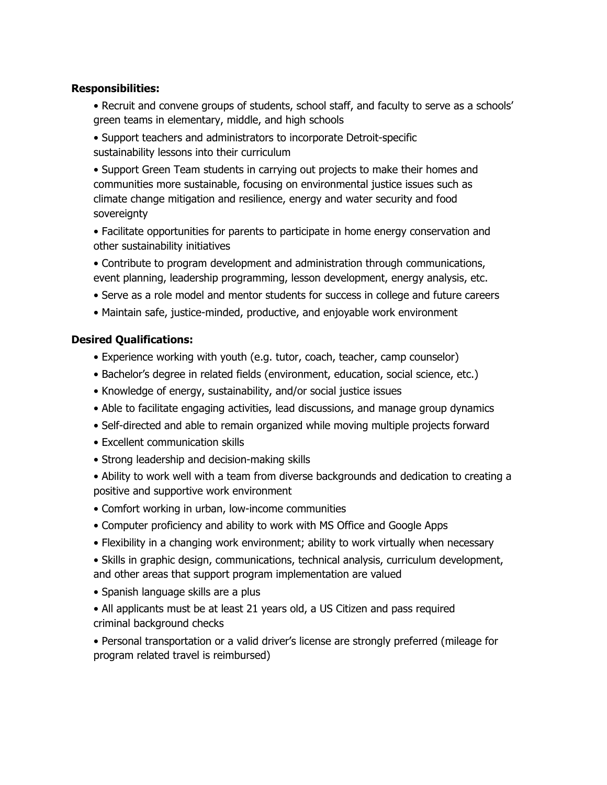## **Responsibilities:**

- Recruit and convene groups of students, school staff, and faculty to serve as a schools' green teams in elementary, middle, and high schools
- Support teachers and administrators to incorporate Detroit-specific sustainability lessons into their curriculum

• Support Green Team students in carrying out projects to make their homes and communities more sustainable, focusing on environmental justice issues such as climate change mitigation and resilience, energy and water security and food sovereignty

• Facilitate opportunities for parents to participate in home energy conservation and other sustainability initiatives

• Contribute to program development and administration through communications, event planning, leadership programming, lesson development, energy analysis, etc.

- Serve as a role model and mentor students for success in college and future careers
- Maintain safe, justice-minded, productive, and enjoyable work environment

## **Desired Qualifications:**

- Experience working with youth (e.g. tutor, coach, teacher, camp counselor)
- Bachelor's degree in related fields (environment, education, social science, etc.)
- Knowledge of energy, sustainability, and/or social justice issues
- Able to facilitate engaging activities, lead discussions, and manage group dynamics
- Self-directed and able to remain organized while moving multiple projects forward
- Excellent communication skills
- Strong leadership and decision-making skills
- Ability to work well with a team from diverse backgrounds and dedication to creating a positive and supportive work environment
- Comfort working in urban, low-income communities
- Computer proficiency and ability to work with MS Office and Google Apps
- Flexibility in a changing work environment; ability to work virtually when necessary
- Skills in graphic design, communications, technical analysis, curriculum development, and other areas that support program implementation are valued
- Spanish language skills are a plus
- All applicants must be at least 21 years old, a US Citizen and pass required criminal background checks

• Personal transportation or a valid driver's license are strongly preferred (mileage for program related travel is reimbursed)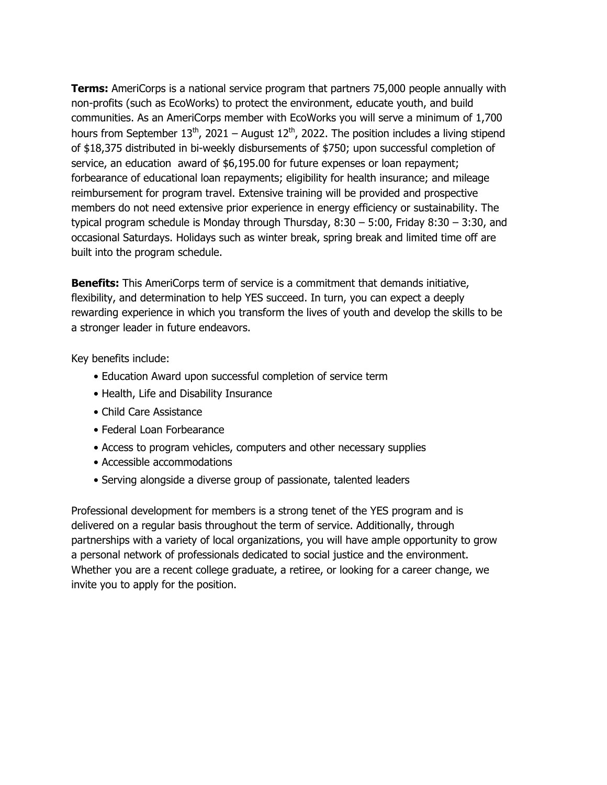**Terms:** AmeriCorps is a national service program that partners 75,000 people annually with non-profits (such as EcoWorks) to protect the environment, educate youth, and build communities. As an AmeriCorps member with EcoWorks you will serve a minimum of 1,700 hours from September  $13<sup>th</sup>$ , 2021 – August  $12<sup>th</sup>$ , 2022. The position includes a living stipend of \$18,375 distributed in bi-weekly disbursements of \$750; upon successful completion of service, an education award of \$6,195.00 for future expenses or loan repayment; forbearance of educational loan repayments; eligibility for health insurance; and mileage reimbursement for program travel. Extensive training will be provided and prospective members do not need extensive prior experience in energy efficiency or sustainability. The typical program schedule is Monday through Thursday, 8:30 – 5:00, Friday 8:30 – 3:30, and occasional Saturdays. Holidays such as winter break, spring break and limited time off are built into the program schedule.

**Benefits:** This AmeriCorps term of service is a commitment that demands initiative, flexibility, and determination to help YES succeed. In turn, you can expect a deeply rewarding experience in which you transform the lives of youth and develop the skills to be a stronger leader in future endeavors.

Key benefits include:

- Education Award upon successful completion of service term
- Health, Life and Disability Insurance
- Child Care Assistance
- Federal Loan Forbearance
- Access to program vehicles, computers and other necessary supplies
- Accessible accommodations
- Serving alongside a diverse group of passionate, talented leaders

Professional development for members is a strong tenet of the YES program and is delivered on a regular basis throughout the term of service. Additionally, through partnerships with a variety of local organizations, you will have ample opportunity to grow a personal network of professionals dedicated to social justice and the environment. Whether you are a recent college graduate, a retiree, or looking for a career change, we invite you to apply for the position.